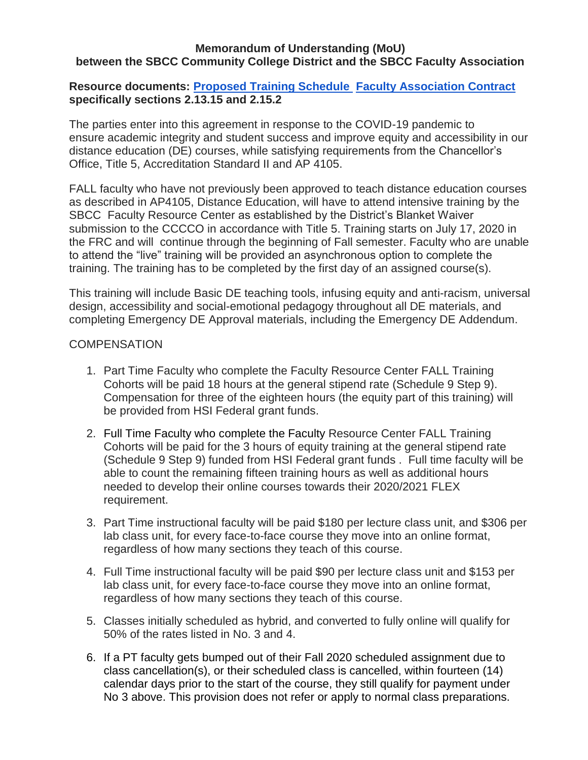#### **Memorandum of Understanding (MoU) between the SBCC Community College District and the SBCC Faculty Association**

### **Resource documents: [Proposed Training Schedule](https://docs.google.com/document/d/1A_WTieIqp-eJKd98tlLAjrUmxf5Lb5FkOwFdVMVdDu4/edit) [Faculty Association Contract](https://992a97c8-a-7440c424-s-sites.googlegroups.com/a/pipeline.sbcc.edu/fa/contracts/FA%20agreement%207-1-16%20to%206-30-18.pdf?attachauth=ANoY7con4Jy9NQ3VL5JaYun5K2aR-HayPBw0qMqH8aR2RHEglYgkwXkx1byCdRO3b0f0m2o1PjRu2ZSVGMIlXEeS8Wno6M6DGE5xx3H-WJaKamcL7peUGBitPFrytVvSRtx9OzkLHETNXodu3kmtxFwONsj3fkqYDa0CAVNS2D6bvgjsV4TZlKlvDVUaxFOc_leZ1b7J1-vpSMheKWWfQ-pph3PuHSWSzVJlfbT4l5MocTRKfv7DSiv1AirE4L-NoeiSvh93Vcjt&attredirects=0)  specifically sections 2.13.15 and 2.15.2**

The parties enter into this agreement in response to the COVID-19 pandemic to ensure academic integrity and student success and improve equity and accessibility in our distance education (DE) courses, while satisfying requirements from the Chancellor's Office, Title 5, Accreditation Standard II and AP 4105.

FALL faculty who have not previously been approved to teach distance education courses as described in AP4105, Distance Education, will have to attend intensive training by the SBCC Faculty Resource Center as established by the District's Blanket Waiver submission to the CCCCO in accordance with Title 5. Training starts on July 17, 2020 in the FRC and will continue through the beginning of Fall semester. Faculty who are unable to attend the "live" training will be provided an asynchronous option to complete the training. The training has to be completed by the first day of an assigned course(s).

This training will include Basic DE teaching tools, infusing equity and anti-racism, universal design, accessibility and social-emotional pedagogy throughout all DE materials, and completing Emergency DE Approval materials, including the Emergency DE Addendum.

#### **COMPENSATION**

- 1. Part Time Faculty who complete the Faculty Resource Center FALL Training Cohorts will be paid 18 hours at the general stipend rate (Schedule 9 Step 9). Compensation for three of the eighteen hours (the equity part of this training) will be provided from HSI Federal grant funds.
- 2. Full Time Faculty who complete the Faculty Resource Center FALL Training Cohorts will be paid for the 3 hours of equity training at the general stipend rate (Schedule 9 Step 9) funded from HSI Federal grant funds . Full time faculty will be able to count the remaining fifteen training hours as well as additional hours needed to develop their online courses towards their 2020/2021 FLEX requirement.
- 3. Part Time instructional faculty will be paid \$180 per lecture class unit, and \$306 per lab class unit, for every face-to-face course they move into an online format, regardless of how many sections they teach of this course.
- 4. Full Time instructional faculty will be paid \$90 per lecture class unit and \$153 per lab class unit, for every face-to-face course they move into an online format, regardless of how many sections they teach of this course.
- 5. Classes initially scheduled as hybrid, and converted to fully online will qualify for 50% of the rates listed in No. 3 and 4.
- 6. If a PT faculty gets bumped out of their Fall 2020 scheduled assignment due to class cancellation(s), or their scheduled class is cancelled, within fourteen (14) calendar days prior to the start of the course, they still qualify for payment under No 3 above. This provision does not refer or apply to normal class preparations.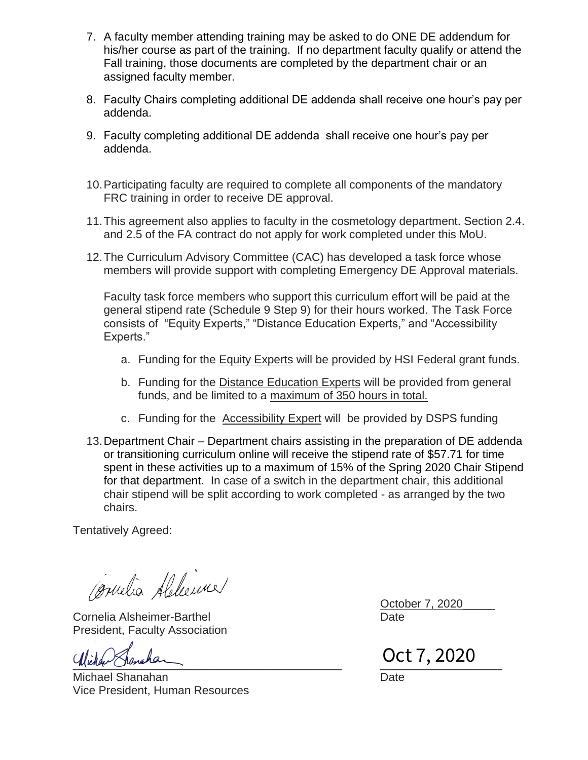- 7. A faculty member attending training may be asked to do ONE DE addendum for his/her course as part of the training. If no department faculty qualify or attend the Fall training, those documents are completed by the department chair or an assigned faculty member.
- 8. Faculty Chairs completing additional DE addenda shall receive one hour's pay per addenda.
- 9. Faculty completing additional DE addenda shall receive one hour's pay per addenda.
- 10.Participating faculty are required to complete all components of the mandatory FRC training in order to receive DE approval.
- 11.This agreement also applies to faculty in the cosmetology department. Section 2.4. and 2.5 of the FA contract do not apply for work completed under this MoU.
- 12.The Curriculum Advisory Committee (CAC) has developed a task force whose members will provide support with completing Emergency DE Approval materials.

Faculty task force members who support this curriculum effort will be paid at the general stipend rate (Schedule 9 Step 9) for their hours worked. The Task Force consists of "Equity Experts," "Distance Education Experts," and "Accessibility Experts."

- a. Funding for the Equity Experts will be provided by HSI Federal grant funds.
- b. Funding for the Distance Education Experts will be provided from general funds, and be limited to a maximum of  $350$  hours in total.
- c. Funding for the Accessibility Expert will be provided by DSPS funding
- 13.Department Chair Department chairs assisting in the preparation of DE addenda or transitioning curriculum online will receive the stipend rate of \$57.71 for time spent in these activities up to a maximum of 15% of the Spring 2020 Chair Stipend for that department. In case of a switch in the department chair, this additional chair stipend will be split according to work completed - as arranged by the two chairs.

Tentatively Agreed:

Cometia Abbeime

Cornelia Alsheimer-Barthel Date President, Faculty Association

Michael Shanahan Date **Date** Vice President, Human Resources

October 7, 2020\_\_\_\_\_

[\\_\\_\\_\\_\\_\\_\\_\\_\\_\\_\\_\\_\\_\\_\\_\\_\\_\\_\\_\\_\\_\\_\\_\\_\\_\\_\\_\\_\\_\\_\\_\\_\\_\\_\\_\\_\\_\\_\\_\\_\\_\\_](https://na2.documents.adobe.com/verifier?tx=CBJCHBCAABAA-QCdMsnmdLwu2ADAW3h3y43S3dMHhKOI) \_\_\_\_\_\_\_\_\_\_\_\_\_\_\_\_\_\_\_ Oct 7, 2020